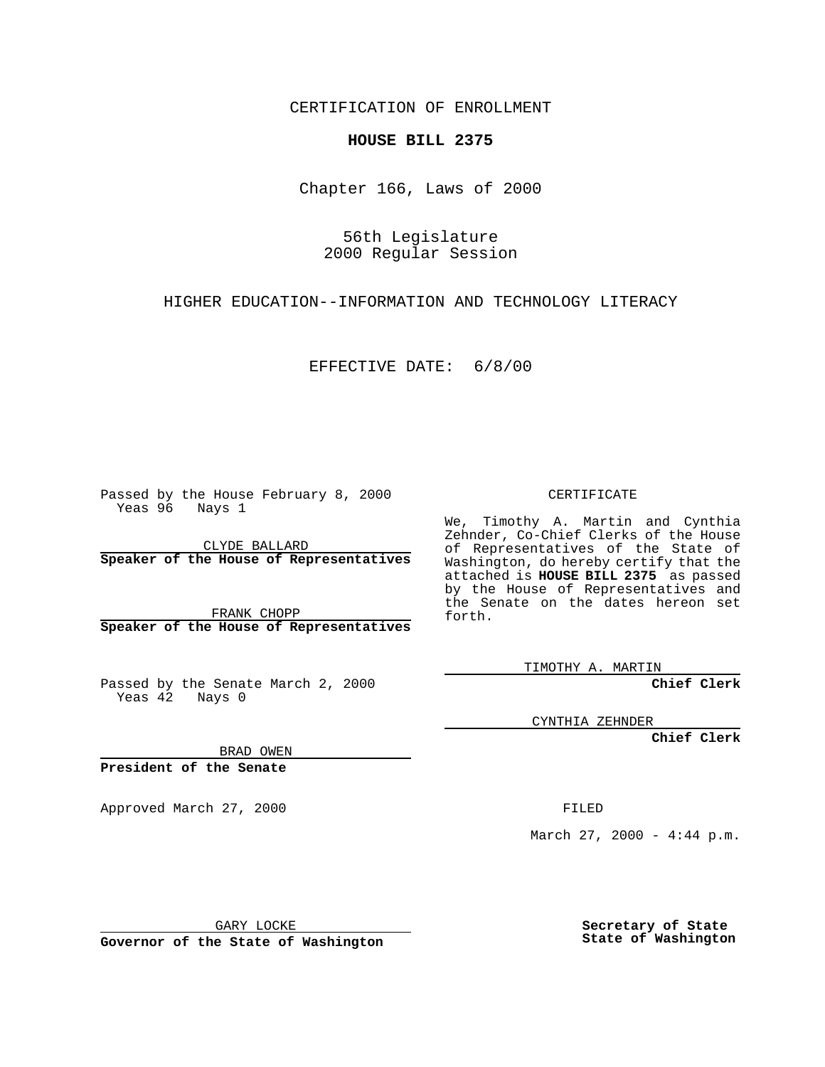CERTIFICATION OF ENROLLMENT

## **HOUSE BILL 2375**

Chapter 166, Laws of 2000

56th Legislature 2000 Regular Session

HIGHER EDUCATION--INFORMATION AND TECHNOLOGY LITERACY

EFFECTIVE DATE: 6/8/00

Passed by the House February 8, 2000 Yeas 96 Nays 1

CLYDE BALLARD **Speaker of the House of Representatives**

FRANK CHOPP **Speaker of the House of Representatives**

Passed by the Senate March 2, 2000 Yeas 42 Nays 0

CERTIFICATE

We, Timothy A. Martin and Cynthia Zehnder, Co-Chief Clerks of the House of Representatives of the State of Washington, do hereby certify that the attached is **HOUSE BILL 2375** as passed by the House of Representatives and the Senate on the dates hereon set forth.

TIMOTHY A. MARTIN

**Chief Clerk**

CYNTHIA ZEHNDER

**Chief Clerk**

BRAD OWEN

**President of the Senate**

Approved March 27, 2000 FILED

March 27, 2000 - 4:44 p.m.

GARY LOCKE

**Governor of the State of Washington**

**Secretary of State State of Washington**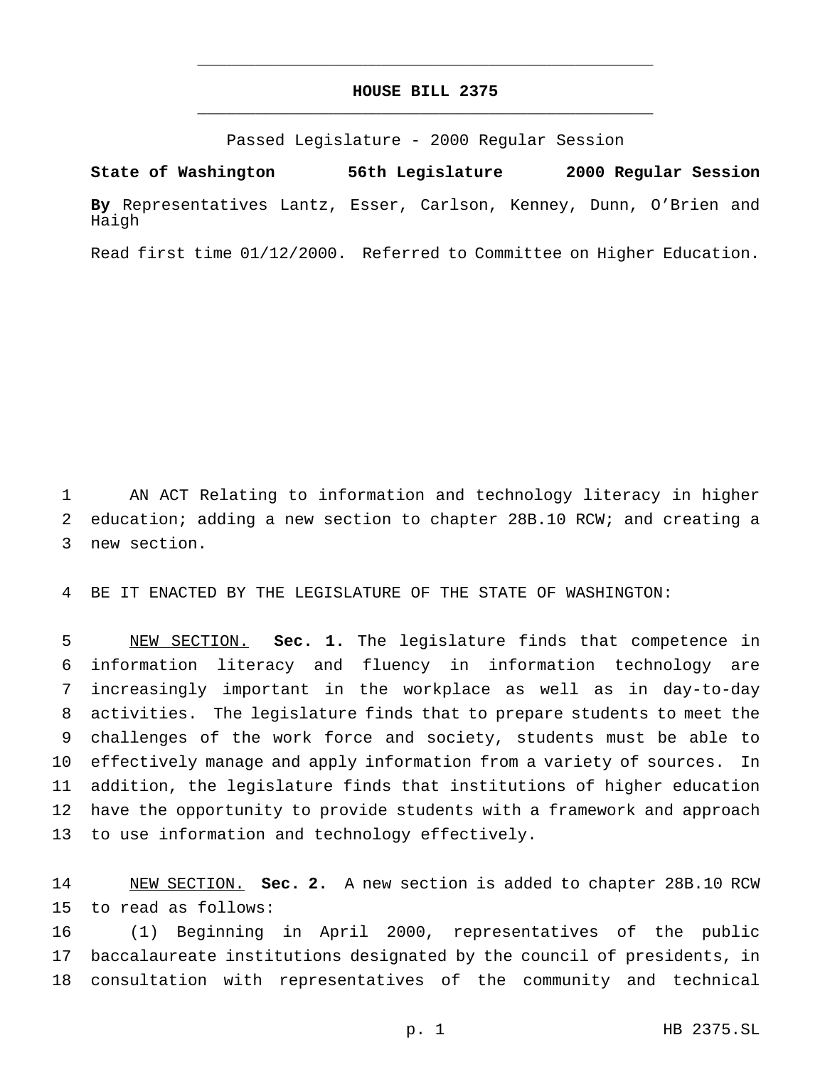## **HOUSE BILL 2375** \_\_\_\_\_\_\_\_\_\_\_\_\_\_\_\_\_\_\_\_\_\_\_\_\_\_\_\_\_\_\_\_\_\_\_\_\_\_\_\_\_\_\_\_\_\_\_

\_\_\_\_\_\_\_\_\_\_\_\_\_\_\_\_\_\_\_\_\_\_\_\_\_\_\_\_\_\_\_\_\_\_\_\_\_\_\_\_\_\_\_\_\_\_\_

Passed Legislature - 2000 Regular Session

**State of Washington 56th Legislature 2000 Regular Session By** Representatives Lantz, Esser, Carlson, Kenney, Dunn, O'Brien and Haigh

Read first time 01/12/2000. Referred to Committee on Higher Education.

 AN ACT Relating to information and technology literacy in higher education; adding a new section to chapter 28B.10 RCW; and creating a new section.

BE IT ENACTED BY THE LEGISLATURE OF THE STATE OF WASHINGTON:

 NEW SECTION. **Sec. 1.** The legislature finds that competence in information literacy and fluency in information technology are increasingly important in the workplace as well as in day-to-day activities. The legislature finds that to prepare students to meet the challenges of the work force and society, students must be able to effectively manage and apply information from a variety of sources. In addition, the legislature finds that institutions of higher education have the opportunity to provide students with a framework and approach to use information and technology effectively.

 NEW SECTION. **Sec. 2.** A new section is added to chapter 28B.10 RCW to read as follows:

 (1) Beginning in April 2000, representatives of the public baccalaureate institutions designated by the council of presidents, in consultation with representatives of the community and technical